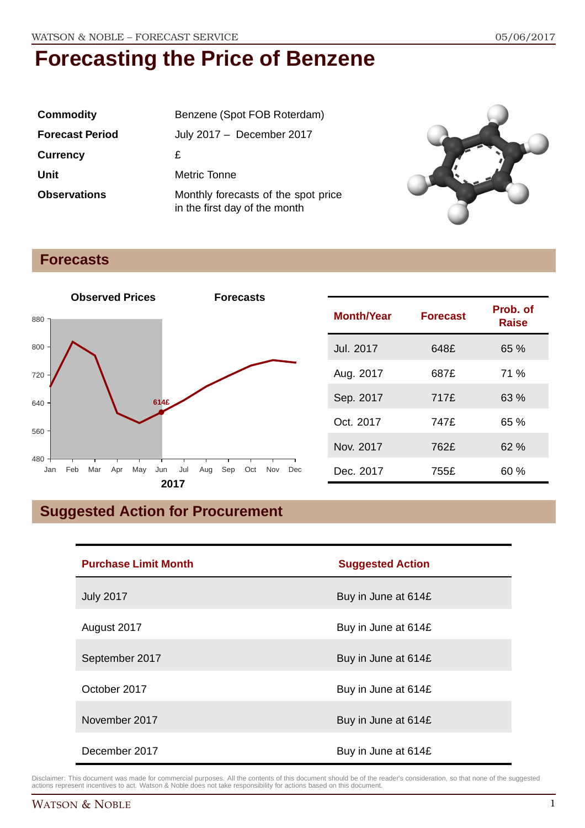| Commodity              | Benzene (Spot FOB Roterdam)                                          |  |
|------------------------|----------------------------------------------------------------------|--|
| <b>Forecast Period</b> | July 2017 - December 2017                                            |  |
| <b>Currency</b>        | £                                                                    |  |
| Unit                   | <b>Metric Tonne</b>                                                  |  |
| <b>Observations</b>    | Monthly forecasts of the spot price<br>in the first day of the month |  |



## **Forecasts**



| <b>Month/Year</b> | <b>Forecast</b> | Prob. of<br><b>Raise</b> |
|-------------------|-----------------|--------------------------|
| Jul. 2017         | 648£            | 65 %                     |
| Aug. 2017         | 687£            | 71 %                     |
| Sep. 2017         | 717£            | 63 %                     |
| Oct. 2017         | 747£            | 65%                      |
| Nov. 2017         | 762£            | 62%                      |
| Dec. 2017         | 755£            | 60 %                     |

## **Suggested Action for Procurement**

| <b>Purchase Limit Month</b> | <b>Suggested Action</b> |
|-----------------------------|-------------------------|
| <b>July 2017</b>            | Buy in June at 614£     |
| August 2017                 | Buy in June at 614£     |
| September 2017              | Buy in June at 614£     |
| October 2017                | Buy in June at 614£     |
| November 2017               | Buy in June at 614£     |
| December 2017               | Buy in June at 614£     |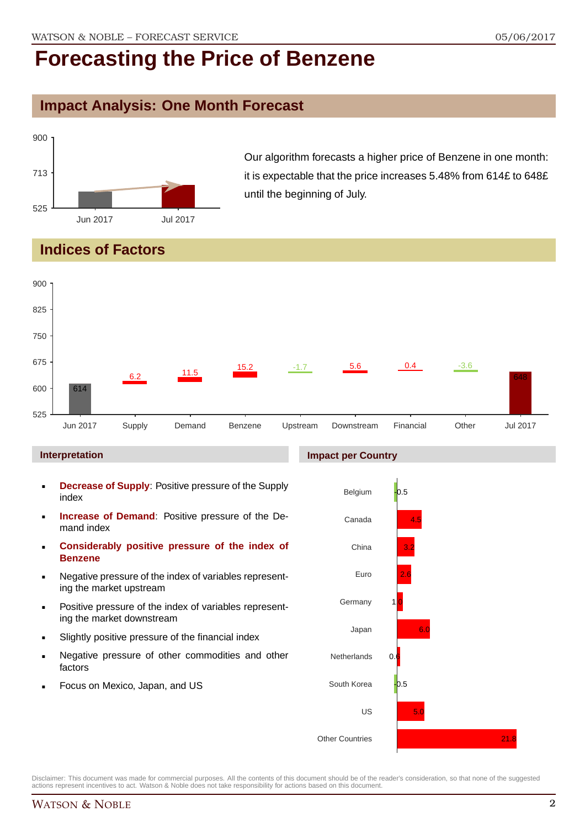### **Impact Analysis: One Month Forecast**



Our algorithm forecasts a higher price of Benzene in one month: it is expectable that the price increases 5.48% from 614£ to 648£ until the beginning of July.

## **Indices of Factors**



#### **Interpretation**

- **Decrease of Supply**: Positive pressure of the Supply index
- **Increase of Demand**: Positive pressure of the Demand index
- **Considerably positive pressure of the index of Benzene**
- Negative pressure of the index of variables representing the market upstream
- Positive pressure of the index of variables representing the market downstream
- Slightly positive pressure of the financial index
- Negative pressure of other commodities and other factors
- Focus on Mexico, Japan, and US

#### **Impact per Country**

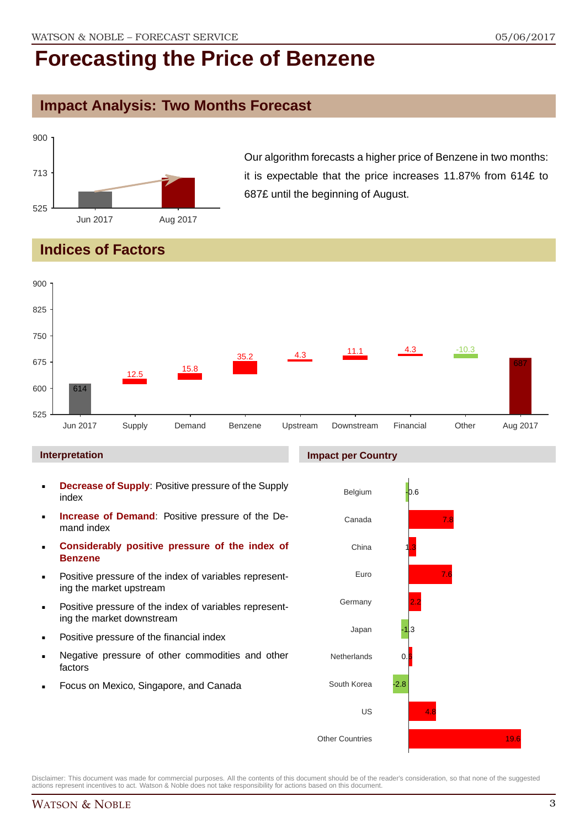### **Impact Analysis: Two Months Forecast**



Our algorithm forecasts a higher price of Benzene in two months: it is expectable that the price increases 11.87% from 614£ to 687£ until the beginning of August.

## **Indices of Factors**



#### **Interpretation**

- **Decrease of Supply**: Positive pressure of the Supply index
- **Increase of Demand**: Positive pressure of the Demand index
- **Considerably positive pressure of the index of Benzene**
- Positive pressure of the index of variables representing the market upstream
- Positive pressure of the index of variables representing the market downstream
- Positive pressure of the financial index
- Negative pressure of other commodities and other factors
- Focus on Mexico, Singapore, and Canada

## **Impact per Country**

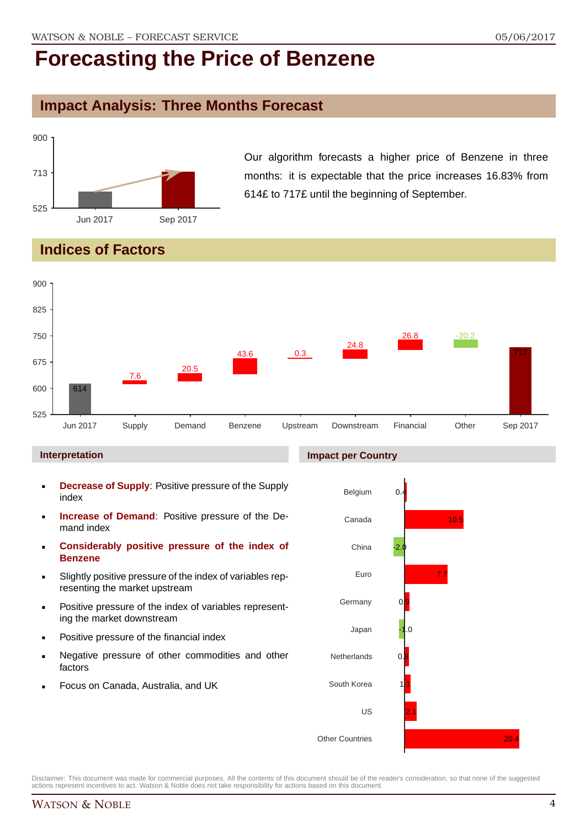## **Impact Analysis: Three Months Forecast**



Our algorithm forecasts a higher price of Benzene in three months: it is expectable that the price increases 16.83% from 614£ to 717£ until the beginning of September.

## **Indices of Factors**



#### **Interpretation**

- **Decrease of Supply**: Positive pressure of the Supply index
- **Increase of Demand**: Positive pressure of the Demand index
- **Considerably positive pressure of the index of Benzene**
- Slightly positive pressure of the index of variables representing the market upstream
- Positive pressure of the index of variables representing the market downstream
- Positive pressure of the financial index
- Negative pressure of other commodities and other factors
- Focus on Canada, Australia, and UK

#### **Impact per Country**

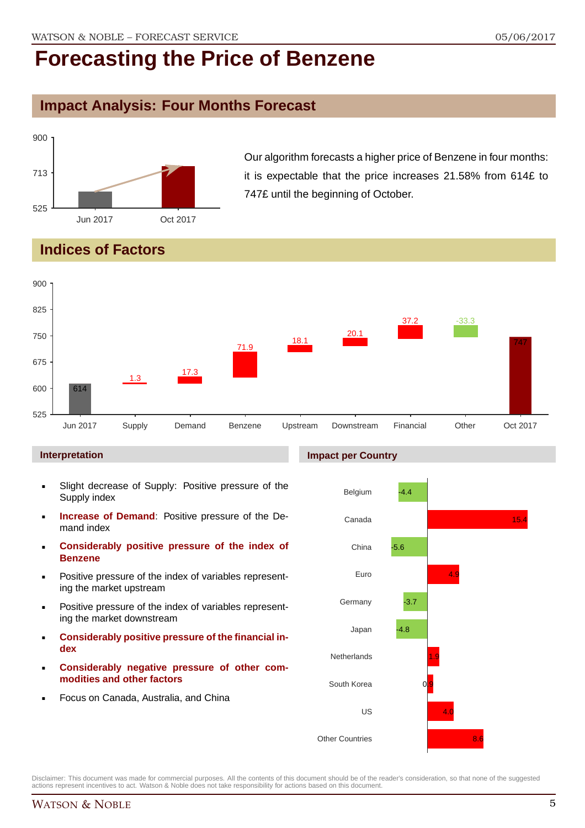### **Impact Analysis: Four Months Forecast**



Our algorithm forecasts a higher price of Benzene in four months: it is expectable that the price increases 21.58% from 614£ to 747£ until the beginning of October.

## **Indices of Factors**



#### **Interpretation**

- Slight decrease of Supply: Positive pressure of the Supply index
- **Increase of Demand**: Positive pressure of the Demand index
- **Considerably positive pressure of the index of Benzene**
- Positive pressure of the index of variables representing the market upstream
- Positive pressure of the index of variables representing the market downstream
- **Considerably positive pressure of the financial index**
- **Considerably negative pressure of other commodities and other factors**
- Focus on Canada, Australia, and China



Disclaimer: This document was made for commercial purposes. All the contents of this document should be of the reader's consideration, so that none of the suggested actions represent incentives to act. Watson & Noble does not take responsibility for actions based on this document.

## WATSON & NOBLE 5

#### **Impact per Country**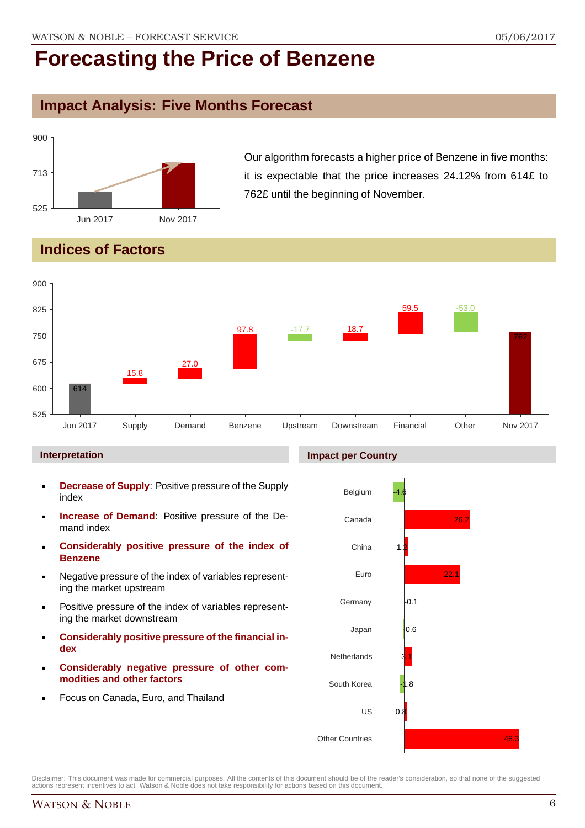## **Impact Analysis: Five Months Forecast**



Our algorithm forecasts a higher price of Benzene in five months: it is expectable that the price increases 24.12% from 614£ to 762£ until the beginning of November.

## **Indices of Factors**



#### **Interpretation**

- **Decrease of Supply**: Positive pressure of the Supply index
- **Increase of Demand**: Positive pressure of the Demand index
- **Considerably positive pressure of the index of Benzene**
- Negative pressure of the index of variables representing the market upstream
- Positive pressure of the index of variables representing the market downstream
- **Considerably positive pressure of the financial index**
- **Considerably negative pressure of other commodities and other factors**
- Focus on Canada, Euro, and Thailand



Disclaimer: This document was made for commercial purposes. All the contents of this document should be of the reader's consideration, so that none of the suggested actions represent incentives to act. Watson & Noble does not take responsibility for actions based on this document.

#### **Impact per Country**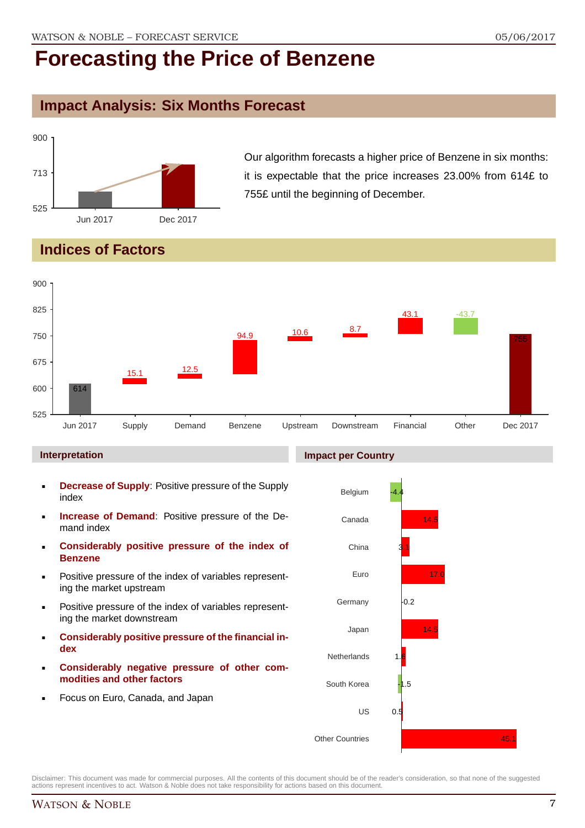### **Impact Analysis: Six Months Forecast**



Our algorithm forecasts a higher price of Benzene in six months: it is expectable that the price increases 23.00% from 614£ to 755£ until the beginning of December.

## **Indices of Factors**



#### **Interpretation**

- **Decrease of Supply**: Positive pressure of the Supply index
- **Increase of Demand**: Positive pressure of the Demand index
- **Considerably positive pressure of the index of Benzene**
- Positive pressure of the index of variables representing the market upstream
- Positive pressure of the index of variables representing the market downstream
- **Considerably positive pressure of the financial index**
- **Considerably negative pressure of other commodities and other factors**
- Focus on Euro, Canada, and Japan



Disclaimer: This document was made for commercial purposes. All the contents of this document should be of the reader's consideration, so that none of the suggested actions represent incentives to act. Watson & Noble does not take responsibility for actions based on this document.

#### **Impact per Country**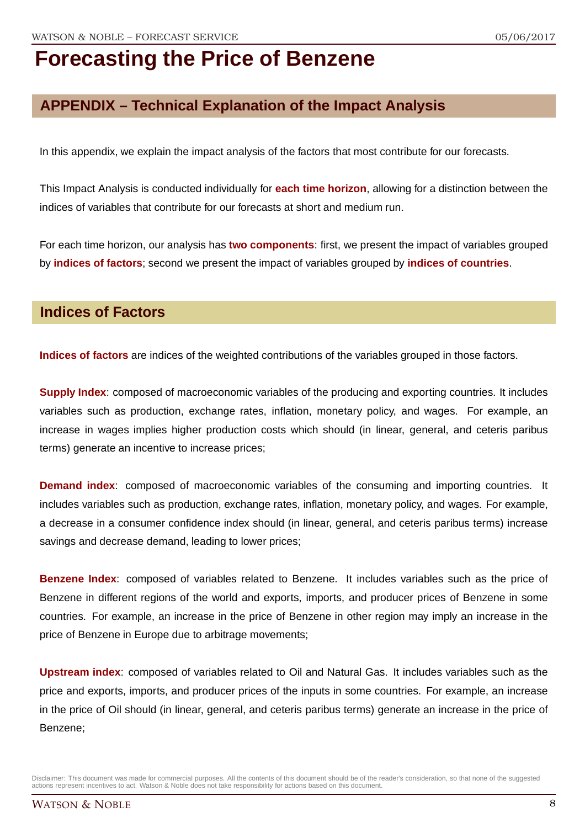## **APPENDIX – Technical Explanation of the Impact Analysis**

In this appendix, we explain the impact analysis of the factors that most contribute for our forecasts.

This Impact Analysis is conducted individually for **each time horizon**, allowing for a distinction between the indices of variables that contribute for our forecasts at short and medium run.

For each time horizon, our analysis has **two components**: first, we present the impact of variables grouped by **indices of factors**; second we present the impact of variables grouped by **indices of countries**.

### **Indices of Factors**

**Indices of factors** are indices of the weighted contributions of the variables grouped in those factors.

**Supply Index**: composed of macroeconomic variables of the producing and exporting countries. It includes variables such as production, exchange rates, inflation, monetary policy, and wages. For example, an increase in wages implies higher production costs which should (in linear, general, and ceteris paribus terms) generate an incentive to increase prices;

**Demand index**: composed of macroeconomic variables of the consuming and importing countries. It includes variables such as production, exchange rates, inflation, monetary policy, and wages. For example, a decrease in a consumer confidence index should (in linear, general, and ceteris paribus terms) increase savings and decrease demand, leading to lower prices;

**Benzene Index**: composed of variables related to Benzene. It includes variables such as the price of Benzene in different regions of the world and exports, imports, and producer prices of Benzene in some countries. For example, an increase in the price of Benzene in other region may imply an increase in the price of Benzene in Europe due to arbitrage movements;

**Upstream index**: composed of variables related to Oil and Natural Gas. It includes variables such as the price and exports, imports, and producer prices of the inputs in some countries. For example, an increase in the price of Oil should (in linear, general, and ceteris paribus terms) generate an increase in the price of Benzene;